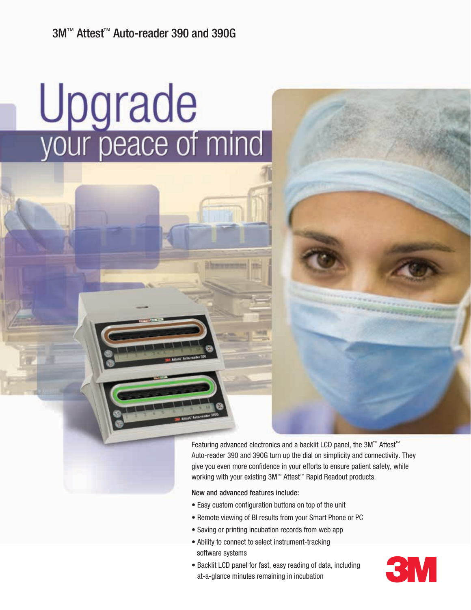# Upgrade<br>your peace of mind

Featuring advanced electronics and a backlit LCD panel, the 3M™ Attest™ Auto-reader 390 and 390G turn up the dial on simplicity and connectivity. They give you even more confidence in your efforts to ensure patient safety, while working with your existing 3M™ Attest™ Rapid Readout products.

New and advanced features include:

- Easy custom configuration buttons on top of the unit
- Remote viewing of BI results from your Smart Phone or PC
- Saving or printing incubation records from web app
- Ability to connect to select instrument-tracking software systems
- Backlit LCD panel for fast, easy reading of data, including software systems<br>Backlit LCD panel for fast, easy reading of data, including<br>at-a-glance minutes remaining in incubation

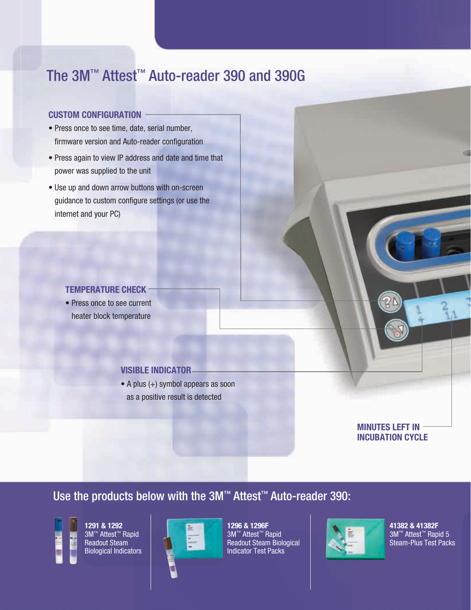# The 3M™ Attest™ Auto-reader 390 and 390G

### **Custom configuration**

- Press once to see time, date, serial number, firmware version and Auto-reader configuration
- Press again to view IP address and date and time that power was supplied to the unit
- Use up and down arrow buttons with on-screen guidance to custom configure settings (or use the internet and your PC)

### **Temperature check**

• Press once to see current heater block temperature

### **Visible indicator**

• A plus (+) symbol appears as soon as a positive result is detected

> **Minutes left in incubation cycle**

Use the products below with the 3M™ Attest™ Auto-reader 390:



**1291 & 1292** 3M™ Attest™ Rapid Readout Steam Biological Indicators



**1296 & 1296F** 3M™ Attest™ Rapid Readout Steam Biological Indicator Test Packs



**41382 & 41382F** 3M™ Attest™ Rapid 5 Steam-Plus Test Packs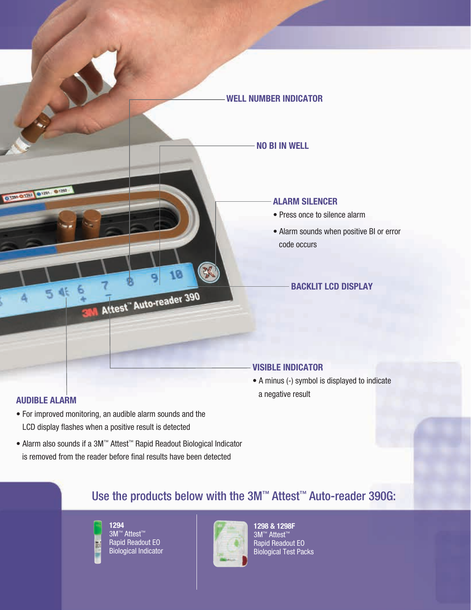

### **Audible alarm**

- For improved monitoring, an audible alarm sounds and the LCD display flashes when a positive result is detected
- Alarm also sounds if a 3M™ Attest™ Rapid Readout Biological Indicator is removed from the reader before final results have been detected
- A minus (-) symbol is displayed to indicate a negative result

# Use the products below with the 3M™ Attest™ Auto-reader 390G:



3M™ Attest™ Rapid Readout EO Biological Indicator



**1298 & 1298F** 3M™ Attest™ Rapid Readout EO Biological Test Packs